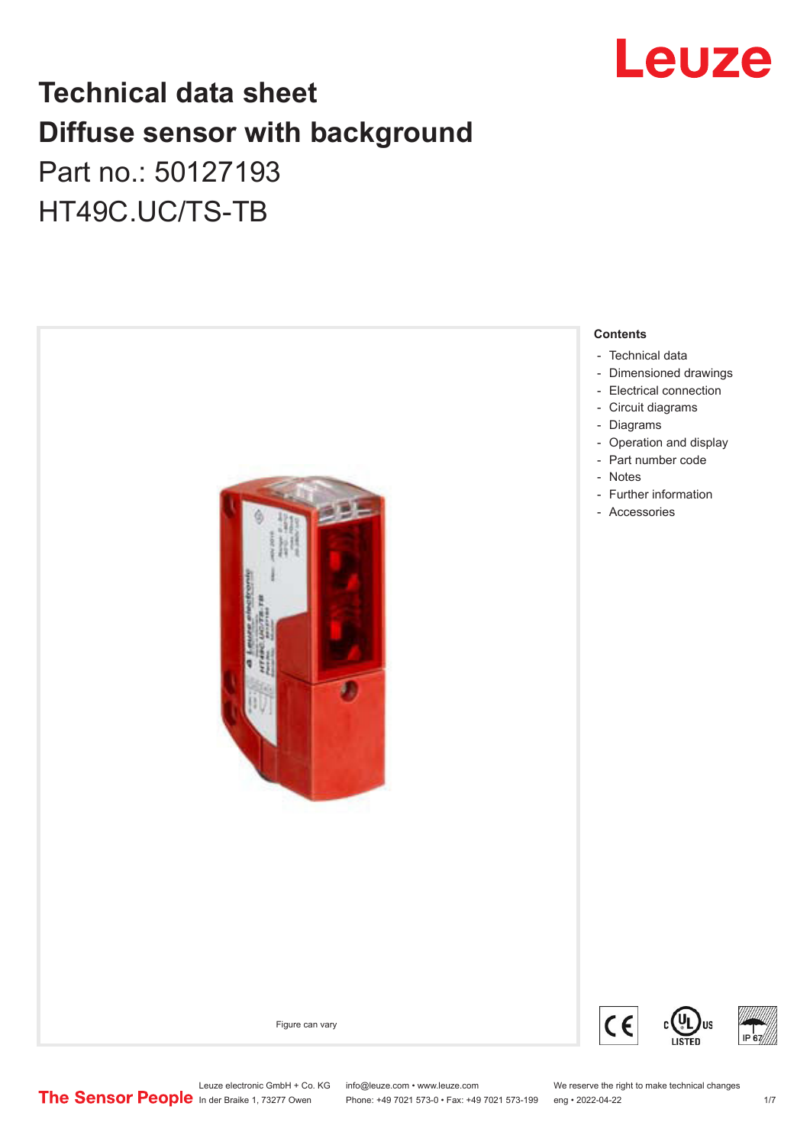

## **Technical data sheet Diffuse sensor with background**  Part no.: 50127193

HT49C.UC/TS-TB



Leuze electronic GmbH + Co. KG info@leuze.com • www.leuze.com We reserve the right to make technical changes<br>
The Sensor People in der Braike 1, 73277 Owen Phone: +49 7021 573-0 • Fax: +49 7021 573-199 eng • 2022-04-22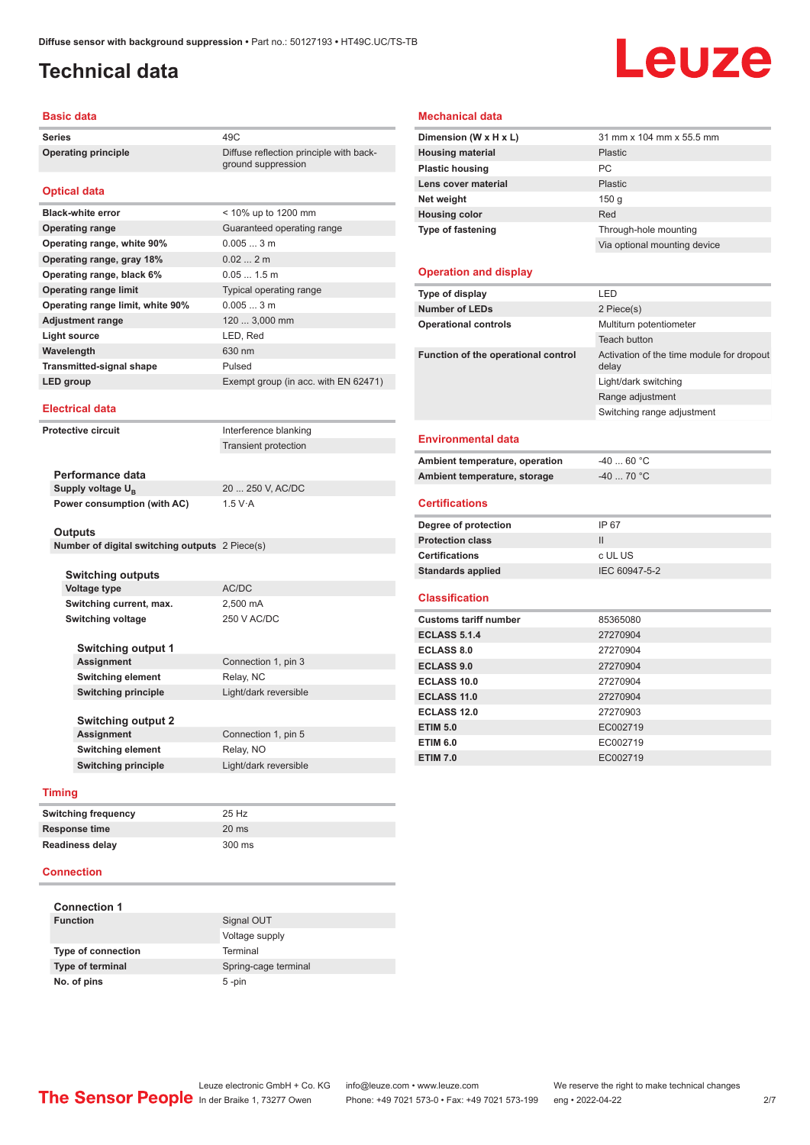ground suppression

### <span id="page-1-0"></span>**Technical data**

# Leuze

#### **Basic data**

**Series** 49C **Operating principle** Diffuse reflection principle with back-

#### **Optical data**

| <b>Black-white error</b>         | < 10% up to 1200 mm                  |
|----------------------------------|--------------------------------------|
| <b>Operating range</b>           | Guaranteed operating range           |
| Operating range, white 90%       | $0.0053$ m                           |
| Operating range, gray 18%        | 0.022m                               |
| Operating range, black 6%        | $0.051.5$ m                          |
| <b>Operating range limit</b>     | Typical operating range              |
| Operating range limit, white 90% | 0.0053m                              |
| <b>Adjustment range</b>          | 120  3,000 mm                        |
| Light source                     | LED, Red                             |
| Wavelength                       | 630 nm                               |
| <b>Transmitted-signal shape</b>  | Pulsed                               |
| LED group                        | Exempt group (in acc. with EN 62471) |

#### **Electrical data**

**Protective circuit Interference blanking** 

Transient protection

**Performance data** Supply voltage  $U_{\text{B}}$ **Power consumption (with AC)** 1.5 V·A

20 ... 250 V, AC/DC

#### **Outputs**

| Number of digital switching outputs 2 Piece(s) |  |  |  |
|------------------------------------------------|--|--|--|
|------------------------------------------------|--|--|--|

| <b>Switching outputs</b>   |                       |
|----------------------------|-----------------------|
| Voltage type               | AC/DC                 |
| Switching current, max.    | 2,500 mA              |
| Switching voltage          | 250 V AC/DC           |
|                            |                       |
| <b>Switching output 1</b>  |                       |
| Assignment                 | Connection 1, pin 3   |
| <b>Switching element</b>   | Relay, NC             |
| <b>Switching principle</b> | Light/dark reversible |
|                            |                       |
| <b>Switching output 2</b>  |                       |
| Assignment                 | Connection 1, pin 5   |
| <b>Switching element</b>   | Relay, NO             |
| <b>Switching principle</b> | Light/dark reversible |

#### **Timing**

| <b>Switching frequency</b> | 25 Hz           |
|----------------------------|-----------------|
| <b>Response time</b>       | $20 \text{ ms}$ |
| <b>Readiness delay</b>     | 300 ms          |

#### **Connection**

| <b>Connection 1</b>     |                      |
|-------------------------|----------------------|
| <b>Function</b>         | Signal OUT           |
|                         | Voltage supply       |
| Type of connection      | Terminal             |
| <b>Type of terminal</b> | Spring-cage terminal |
| No. of pins             | $5$ -pin             |

#### **Mechanical data**

| Dimension (W x H x L)               | 31 mm x 104 mm x 55.5 mm                           |
|-------------------------------------|----------------------------------------------------|
| <b>Housing material</b>             | Plastic                                            |
| <b>Plastic housing</b>              | PC                                                 |
| Lens cover material                 | <b>Plastic</b>                                     |
| Net weight                          | 150 g                                              |
| <b>Housing color</b>                | Red                                                |
| Type of fastening                   | Through-hole mounting                              |
|                                     | Via optional mounting device                       |
|                                     |                                                    |
| <b>Operation and display</b>        |                                                    |
| Type of display                     | LED                                                |
| <b>Number of LEDs</b>               | 2 Piece(s)                                         |
| <b>Operational controls</b>         | Multiturn potentiometer                            |
|                                     | <b>Teach button</b>                                |
| Function of the operational control | Activation of the time module for dropout<br>delay |
|                                     | Light/dark switching                               |
|                                     | Range adjustment                                   |
|                                     | Switching range adjustment                         |
| <b>Environmental data</b>           |                                                    |
| Ambient temperature, operation      | $-40$ 60 °C                                        |
| Ambient temperature, storage        | $-40$ 70 °C                                        |
|                                     |                                                    |
| <b>Certifications</b>               |                                                    |
| Degree of protection                | IP 67                                              |
| <b>Protection class</b>             | $\mathbf{II}$                                      |
| <b>Certifications</b>               | c UL US                                            |
| <b>Standards applied</b>            | IEC 60947-5-2                                      |
| <b>Classification</b>               |                                                    |
| <b>Customs tariff number</b>        | 85365080                                           |
| <b>ECLASS 5.1.4</b>                 | 27270904                                           |
| <b>ECLASS 8.0</b>                   | 27270904                                           |
| <b>ECLASS 9.0</b>                   | 27270904                                           |
| <b>ECLASS 10.0</b>                  | 27270904                                           |
| <b>ECLASS 11.0</b>                  | 27270904                                           |
| <b>ECLASS 12.0</b>                  | 27270903                                           |
| <b>ETIM 5.0</b>                     | EC002719                                           |
| <b>ETIM 6.0</b>                     | EC002719                                           |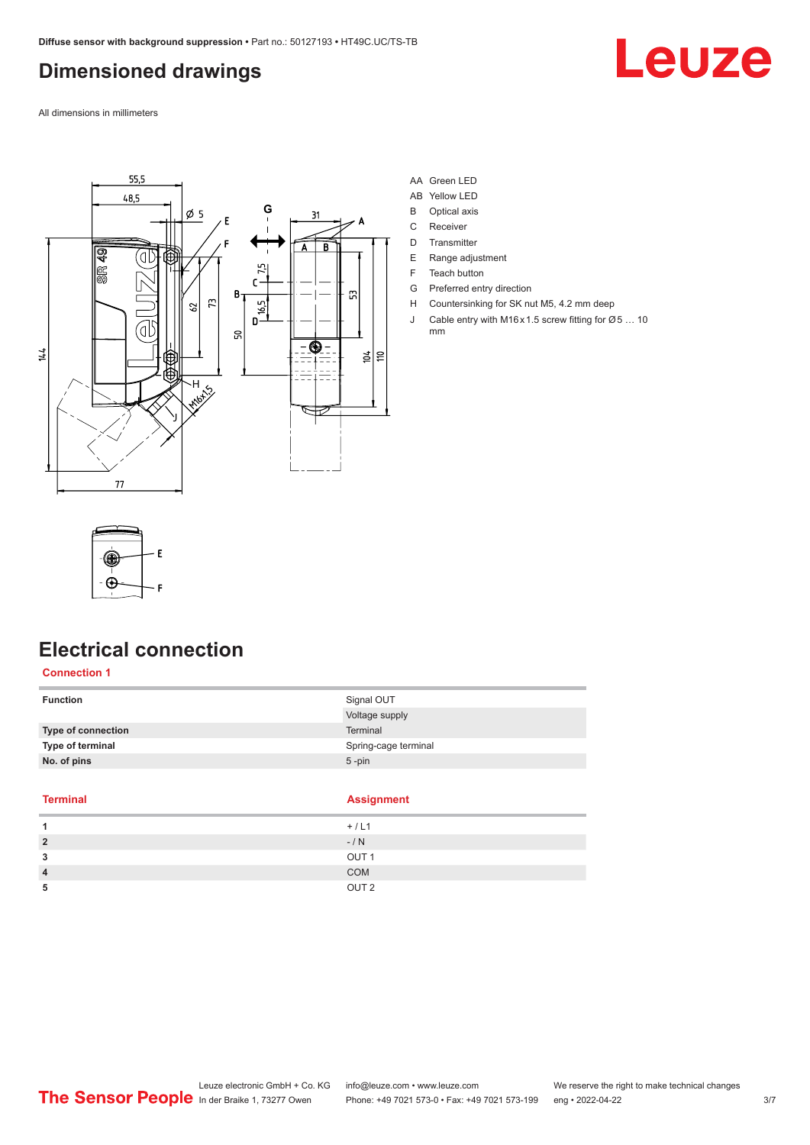### <span id="page-2-0"></span>**Dimensioned drawings**

Leuze

All dimensions in millimeters



#### AA Green LED

- AB Yellow LED
- B Optical axis
- C Receiver
- D Transmitter
- E Range adjustment
- F Teach button
- G Preferred entry direction
- H Countersinking for SK nut M5, 4.2 mm deep
- J Cable entry with M16 x 1.5 screw fitting for Ø 5 ... 10 mm



### **Electrical connection**

#### **Connection 1**

| <b>Function</b>    | Signal OUT           |
|--------------------|----------------------|
|                    | Voltage supply       |
| Type of connection | Terminal             |
| Type of terminal   | Spring-cage terminal |
| No. of pins        | $5$ -pin             |
|                    |                      |

#### **Terminal Assignment**

e.

|        | __               |
|--------|------------------|
|        | $+ / L1$         |
| 2      | $-/ N$           |
| 3      | OUT <sub>1</sub> |
| 4<br>┱ | COM              |
| 5      | OUT <sub>2</sub> |
|        |                  |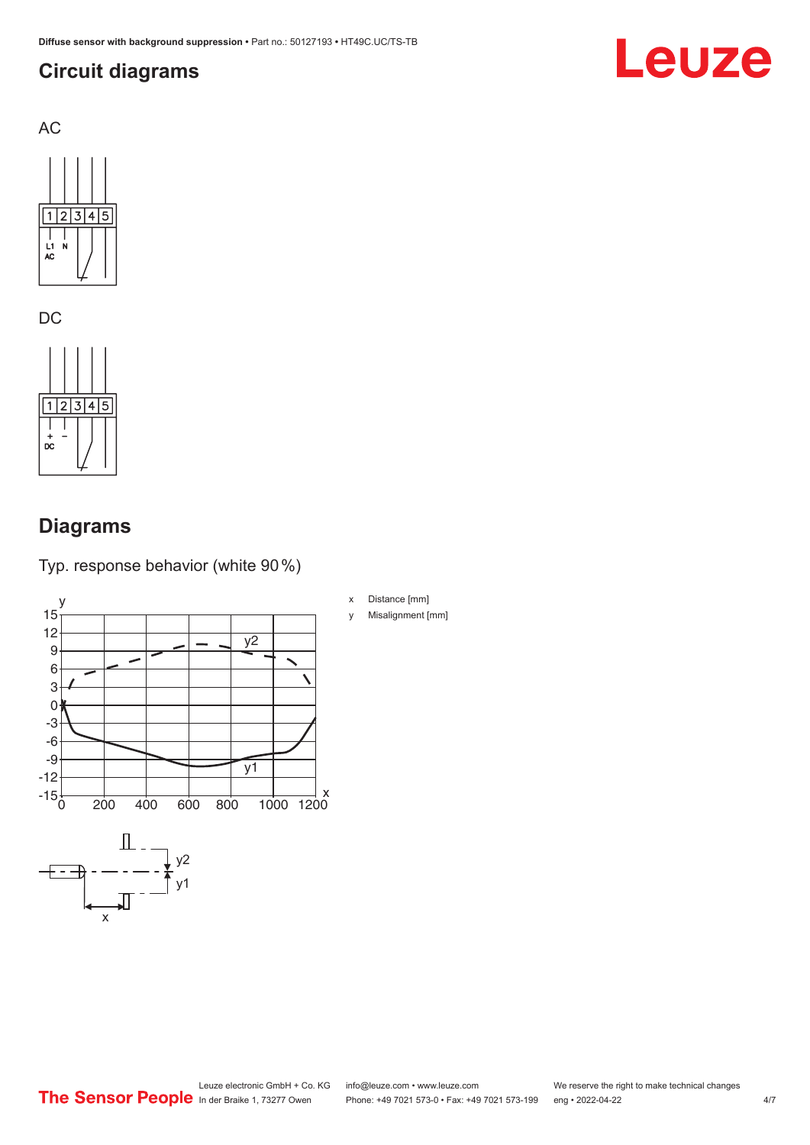### <span id="page-3-0"></span>**Circuit diagrams**



AC



DC



### **Diagrams**

x

Typ. response behavior (white 90 %)



- x Distance [mm]
- y Misalignment [mm]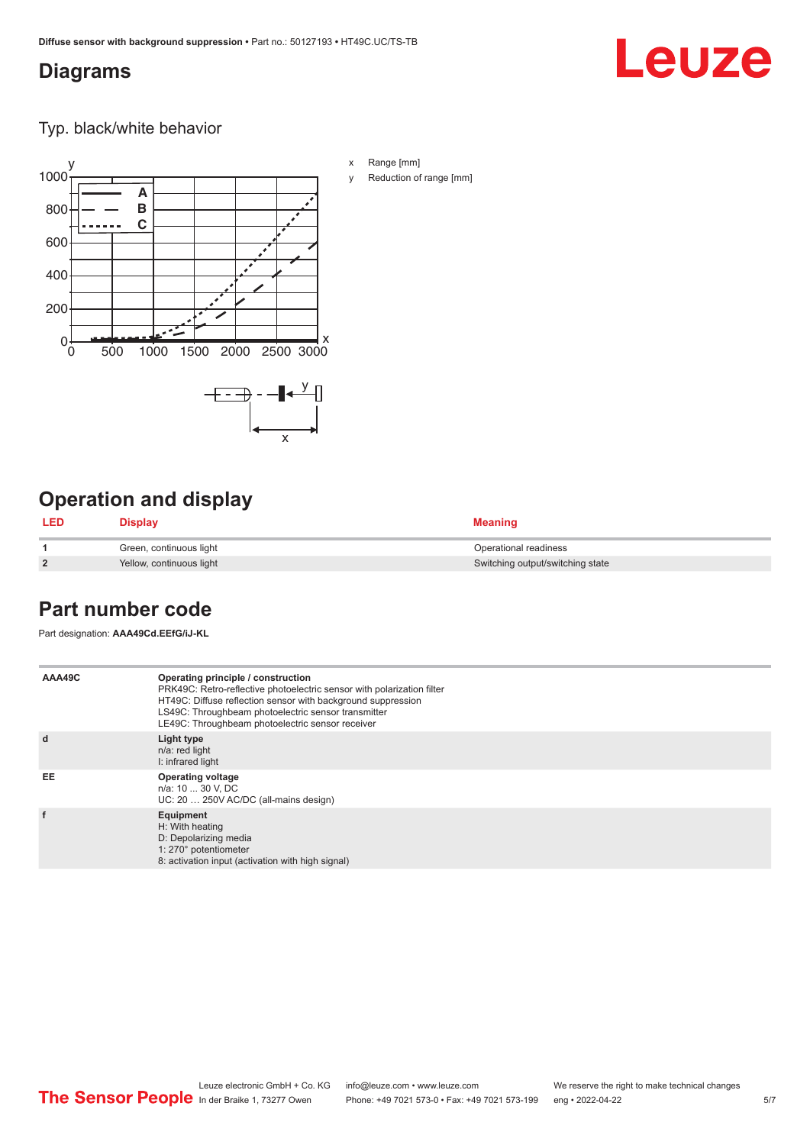#### <span id="page-4-0"></span>**Diagrams**

## Leuze

Typ. black/white behavior



### **Operation and display**

| LED            | <b>Display</b>           | <b>Meaning</b>                   |
|----------------|--------------------------|----------------------------------|
|                | Green, continuous light  | Operational readiness            |
| $\overline{2}$ | Yellow, continuous light | Switching output/switching state |

### **Part number code**

Part designation: **AAA49Cd.EEfG/iJ-KL**

| AAA49C | Operating principle / construction<br>PRK49C: Retro-reflective photoelectric sensor with polarization filter<br>HT49C: Diffuse reflection sensor with background suppression<br>LS49C: Throughbeam photoelectric sensor transmitter<br>LE49C: Throughbeam photoelectric sensor receiver |
|--------|-----------------------------------------------------------------------------------------------------------------------------------------------------------------------------------------------------------------------------------------------------------------------------------------|
| d      | Light type<br>n/a: red light<br>I: infrared light                                                                                                                                                                                                                                       |
| EE     | <b>Operating voltage</b><br>n/a: 10  30 V, DC<br>UC: 20  250V AC/DC (all-mains design)                                                                                                                                                                                                  |
| f      | Equipment<br>H: With heating<br>D: Depolarizing media<br>1: 270° potentiometer<br>8: activation input (activation with high signal)                                                                                                                                                     |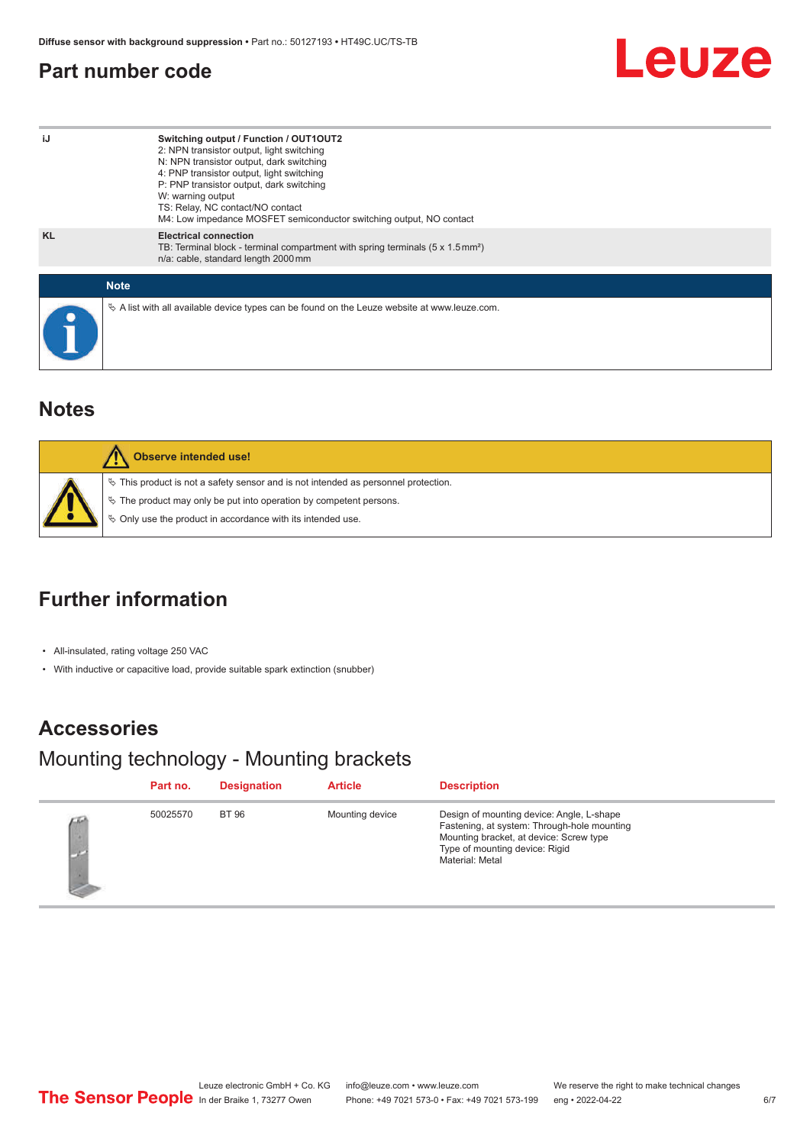#### <span id="page-5-0"></span>**Part number code**



| iJ          | Switching output / Function / OUT1OUT2<br>2: NPN transistor output, light switching<br>N: NPN transistor output, dark switching<br>4: PNP transistor output, light switching<br>P: PNP transistor output, dark switching<br>W: warning output<br>TS: Relay, NC contact/NO contact<br>M4: Low impedance MOSFET semiconductor switching output, NO contact |
|-------------|----------------------------------------------------------------------------------------------------------------------------------------------------------------------------------------------------------------------------------------------------------------------------------------------------------------------------------------------------------|
| <b>KL</b>   | <b>Electrical connection</b><br>TB: Terminal block - terminal compartment with spring terminals $(5 \times 1.5 \text{ mm}^2)$<br>n/a: cable, standard length 2000 mm                                                                                                                                                                                     |
| <b>Note</b> |                                                                                                                                                                                                                                                                                                                                                          |
|             | $\&$ A list with all available device types can be found on the Leuze website at www.leuze.com.                                                                                                                                                                                                                                                          |

#### **Notes**

| Observe intended use!                                                                                                                                                                                                      |
|----------------------------------------------------------------------------------------------------------------------------------------------------------------------------------------------------------------------------|
| $\%$ This product is not a safety sensor and is not intended as personnel protection.<br>§ The product may only be put into operation by competent persons.<br>♦ Only use the product in accordance with its intended use. |

### **Further information**

• All-insulated, rating voltage 250 VAC

• With inductive or capacitive load, provide suitable spark extinction (snubber)

### **Accessories**

### Mounting technology - Mounting brackets

| Part no. | <b>Designation</b> | <b>Article</b>  | <b>Description</b>                                                                                                                                                                       |
|----------|--------------------|-----------------|------------------------------------------------------------------------------------------------------------------------------------------------------------------------------------------|
| 50025570 | <b>BT 96</b>       | Mounting device | Design of mounting device: Angle, L-shape<br>Fastening, at system: Through-hole mounting<br>Mounting bracket, at device: Screw type<br>Type of mounting device: Rigid<br>Material: Metal |